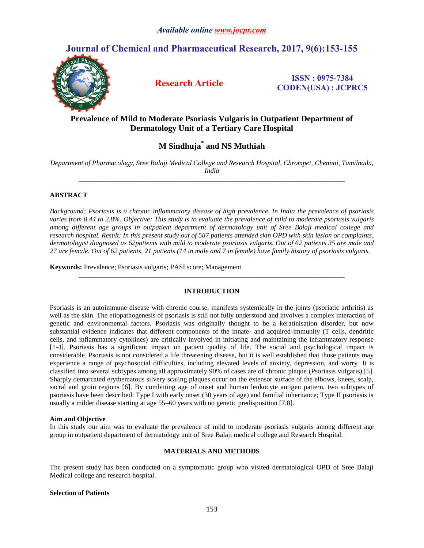# **Journal of Chemical and Pharmaceutical Research, 2017, 9(6):153-155**



**Research Article ISSN : 0975-7384 CODEN(USA) : JCPRC5**

# **Prevalence of Mild to Moderate Psoriasis Vulgaris in Outpatient Department of Dermatology Unit of a Tertiary Care Hospital**

# **M Sindhuja\* and NS Muthiah**

*Department of Pharmacology, Sree Balaji Medical College and Research Hospital, Chrompet, Chennai, Tamilnadu, India \_\_\_\_\_\_\_\_\_\_\_\_\_\_\_\_\_\_\_\_\_\_\_\_\_\_\_\_\_\_\_\_\_\_\_\_\_\_\_\_\_\_\_\_\_\_\_\_\_\_\_\_\_\_\_\_\_\_\_\_\_\_\_\_\_\_\_\_\_\_\_\_\_\_\_\_\_*

## **ABSTRACT**

*Background: Psoriasis is a chronic inflammatory disease of high prevalence. In India the prevalence of psoriasis varies from 0.44 to 2.8%. Objective: This study is to evaluate the prevalence of mild to moderate psoriasis vulgaris among different age groups in outpatient department of dermatology unit of Sree Balaji medical college and research hospital. Result: In this present study out of 587 patients attended skin OPD with skin lesion or complaints, dermatologist diagnosed as 62patients with mild to moderate psoriasis vulgaris. Out of 62 patients 35 are male and 27 are female. Out of 62 patients, 21 patients (14 in male and 7 in female) have family history of psoriasis vulgaris.*

**Keywords:** Prevalence; Psoriasis vulgaris; PASI score; Management

### **INTRODUCTION**

*\_\_\_\_\_\_\_\_\_\_\_\_\_\_\_\_\_\_\_\_\_\_\_\_\_\_\_\_\_\_\_\_\_\_\_\_\_\_\_\_\_\_\_\_\_\_\_\_\_\_\_\_\_\_\_\_\_\_\_\_\_\_\_\_\_\_\_\_\_\_\_\_\_\_\_\_\_*

Psoriasis is an autoimmune disease with chronic course, manifests systemically in the joints (psoriatic arthritis) as well as the skin. The etiopathogenesis of psoriasis is still not fully understood and involves a complex interaction of genetic and environmental factors. Psoriasis was originally thought to be a keratinisation disorder, but now substantial evidence indicates that different components of the innate- and acquired-immunity (T cells, dendritic cells, and inflammatory cytokines) are critically involved in initiating and maintaining the inflammatory response [1-4]. Psoriasis has a significant impact on patient quality of life. The social and psychological impact is considerable. Psoriasis is not considered a life threatening disease, but it is well established that those patients may experience a range of psychosocial difficulties, including elevated levels of anxiety, depression, and worry. It is classified into several subtypes among all approximately 90% of cases are of chronic plaque (Psoriasis vulgaris) [5]. Sharply demarcated erythematous silvery scaling plaques occur on the extensor surface of the elbows, knees, scalp, sacral and groin regions [6]. By combining age of onset and human leukocyte antigen pattern, two subtypes of psoriasis have been described: Type I with early onset (30 years of age) and familial inheritance; Type II psoriasis is usually a milder disease starting at age 55–60 years with no genetic predisposition [7,8].

### **Aim and Objective**

In this study our aim was to evaluate the prevalence of mild to moderate psoriasis vulgaris among different age group in outpatient department of dermatology unit of Sree Balaji medical college and Research Hospital.

#### **MATERIALS AND METHODS**

The present study has been conducted on a symptomatic group who visited dermatological OPD of Sree Balaji Medical college and research hospital.

#### **Selection of Patients**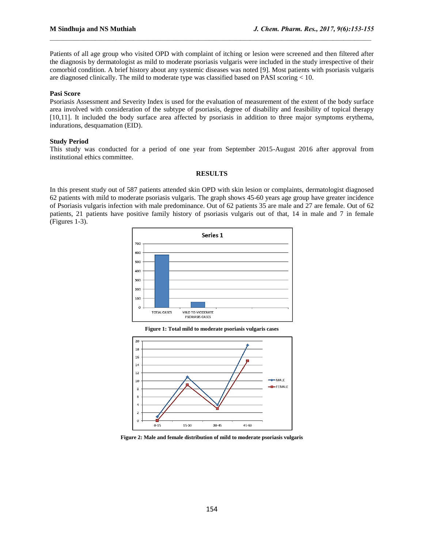Patients of all age group who visited OPD with complaint of itching or lesion were screened and then filtered after the diagnosis by dermatologist as mild to moderate psoriasis vulgaris were included in the study irrespective of their comorbid condition. A brief history about any systemic diseases was noted [9]. Most patients with psoriasis vulgaris are diagnosed clinically. The mild to moderate type was classified based on PASI scoring  $< 10$ .

 $\mathcal{L}_\mathcal{L} = \mathcal{L}_\mathcal{L}$ 

# **Pasi Score**

Psoriasis Assessment and Severity Index is used for the evaluation of measurement of the extent of the body surface area involved with consideration of the subtype of psoriasis, degree of disability and feasibility of topical therapy [10,11]. It included the body surface area affected by psoriasis in addition to three major symptoms erythema, indurations, desquamation (EID).

#### **Study Period**

This study was conducted for a period of one year from September 2015-August 2016 after approval from institutional ethics committee.

#### **RESULTS**

In this present study out of 587 patients attended skin OPD with skin lesion or complaints, dermatologist diagnosed 62 patients with mild to moderate psoriasis vulgaris. The graph shows 45-60 years age group have greater incidence of Psoriasis vulgaris infection with male predominance. Out of 62 patients 35 are male and 27 are female. Out of 62 patients, 21 patients have positive family history of psoriasis vulgaris out of that, 14 in male and 7 in female (Figures 1-3).



**Figure 1: Total mild to moderate psoriasis vulgaris cases**



**Figure 2: Male and female distribution of mild to moderate psoriasis vulgaris**